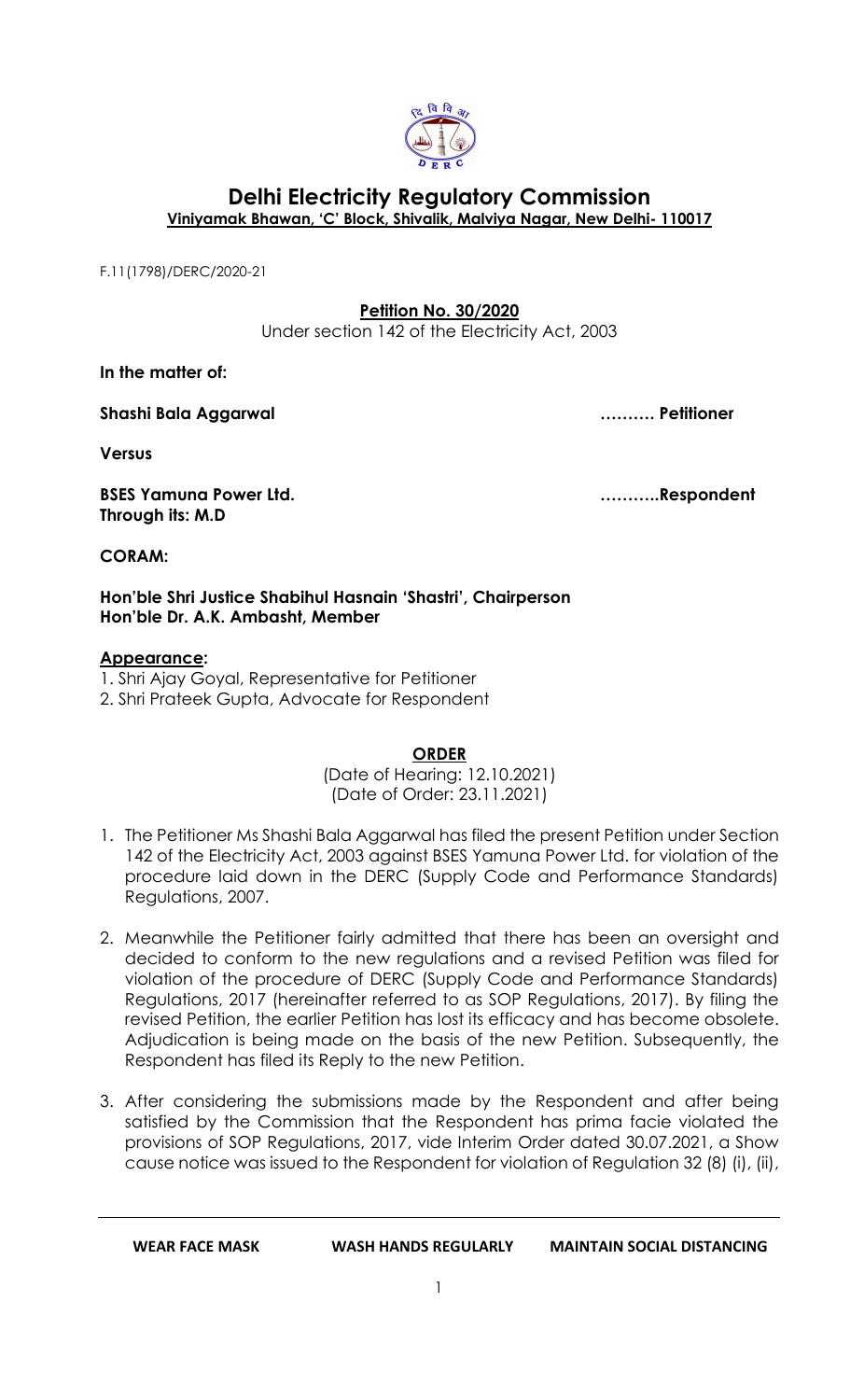

# **Delhi Electricity Regulatory Commission Viniyamak Bhawan, 'C' Block, Shivalik, Malviya Nagar, New Delhi- 110017**

F.11(1798)/DERC/2020-21

## **Petition No. 30/2020**

Under section 142 of the Electricity Act, 2003

**In the matter of:**

**Shashi Bala Aggarwal ………. Petitioner**

**Versus**

**BSES Yamuna Power Ltd. ………..Respondent Through its: M.D**

**CORAM:** 

**Hon'ble Shri Justice Shabihul Hasnain 'Shastri', Chairperson Hon'ble Dr. A.K. Ambasht, Member**

### **Appearance:**

1. Shri Ajay Goyal, Representative for Petitioner

2. Shri Prateek Gupta, Advocate for Respondent

**ORDER**

(Date of Hearing: 12.10.2021) (Date of Order: 23.11.2021)

- 1. The Petitioner Ms Shashi Bala Aggarwal has filed the present Petition under Section 142 of the Electricity Act, 2003 against BSES Yamuna Power Ltd. for violation of the procedure laid down in the DERC (Supply Code and Performance Standards) Regulations, 2007.
- 2. Meanwhile the Petitioner fairly admitted that there has been an oversight and decided to conform to the new regulations and a revised Petition was filed for violation of the procedure of DERC (Supply Code and Performance Standards) Regulations, 2017 (hereinafter referred to as SOP Regulations, 2017). By filing the revised Petition, the earlier Petition has lost its efficacy and has become obsolete. Adjudication is being made on the basis of the new Petition. Subsequently, the Respondent has filed its Reply to the new Petition.
- 3. After considering the submissions made by the Respondent and after being satisfied by the Commission that the Respondent has prima facie violated the provisions of SOP Regulations, 2017, vide Interim Order dated 30.07.2021, a Show cause notice was issued to the Respondent for violation of Regulation 32 (8) (i), (ii),

**WEAR FACE MASK WASH HANDS REGULARLY MAINTAIN SOCIAL DISTANCING**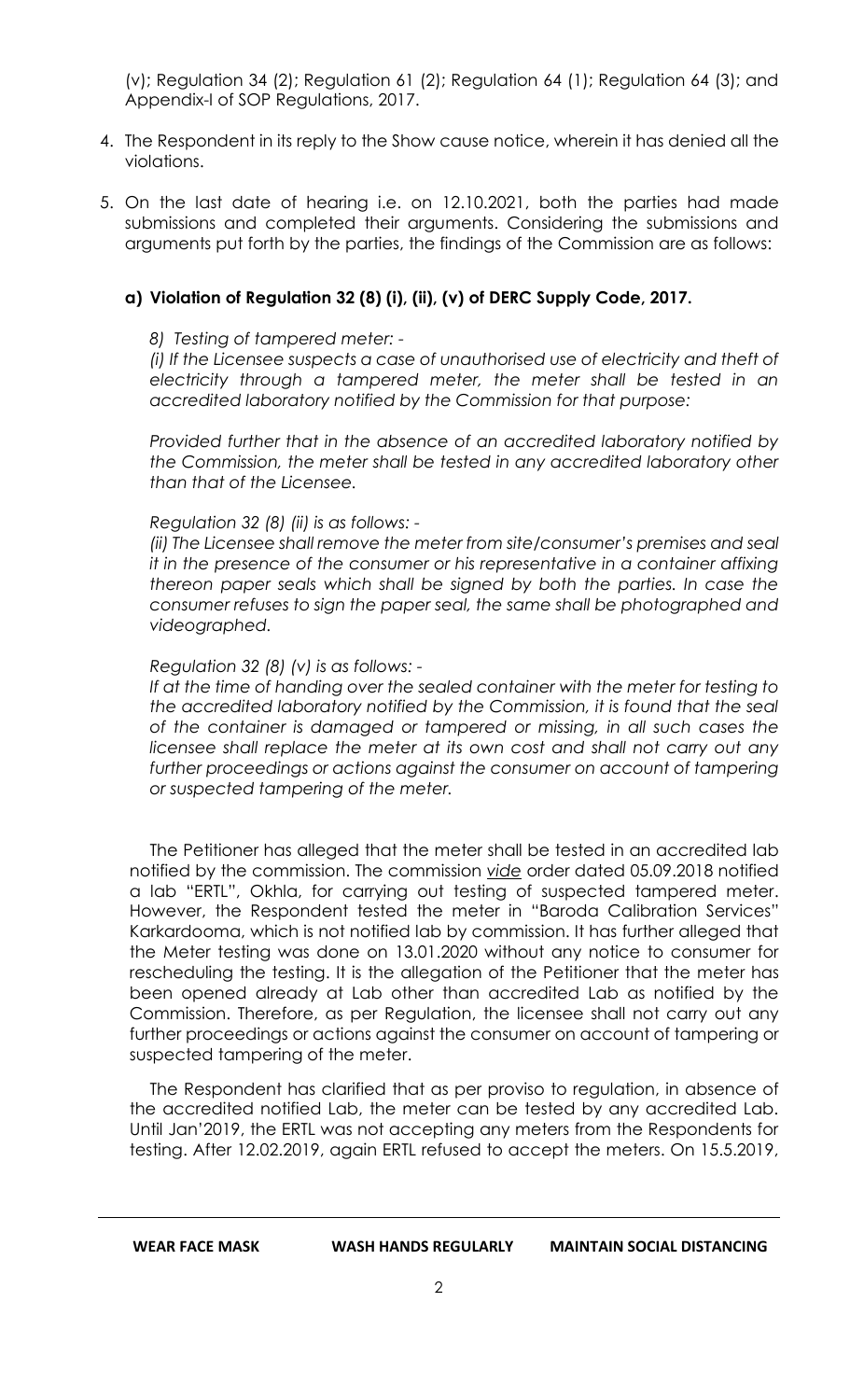(v); Regulation 34 (2); Regulation 61 (2); Regulation 64 (1); Regulation 64 (3); and Appendix-I of SOP Regulations, 2017.

- 4. The Respondent in its reply to the Show cause notice, wherein it has denied all the violations.
- 5. On the last date of hearing i.e. on 12.10.2021, both the parties had made submissions and completed their arguments. Considering the submissions and arguments put forth by the parties, the findings of the Commission are as follows:

### **a) Violation of Regulation 32 (8) (i), (ii), (v) of DERC Supply Code, 2017.**

#### *8) Testing of tampered meter: -*

*(i) If the Licensee suspects a case of unauthorised use of electricity and theft of electricity through a tampered meter, the meter shall be tested in an accredited laboratory notified by the Commission for that purpose:*

*Provided further that in the absence of an accredited laboratory notified by the Commission, the meter shall be tested in any accredited laboratory other than that of the Licensee.*

#### *Regulation 32 (8) (ii) is as follows: -*

*(ii) The Licensee shall remove the meter from site/consumer's premises and seal it in the presence of the consumer or his representative in a container affixing thereon paper seals which shall be signed by both the parties. In case the consumer refuses to sign the paper seal, the same shall be photographed and videographed.* 

#### *Regulation 32 (8) (v) is as follows: -*

If at the time of handing over the sealed container with the meter for testing to *the accredited laboratory notified by the Commission, it is found that the seal of the container is damaged or tampered or missing, in all such cases the*  licensee shall replace the meter at its own cost and shall not carry out any further proceedings or actions against the consumer on account of tampering *or suspected tampering of the meter.*

The Petitioner has alleged that the meter shall be tested in an accredited lab notified by the commission. The commission *vide* order dated 05.09.2018 notified a lab "ERTL", Okhla, for carrying out testing of suspected tampered meter. However, the Respondent tested the meter in "Baroda Calibration Services" Karkardooma, which is not notified lab by commission. It has further alleged that the Meter testing was done on 13.01.2020 without any notice to consumer for rescheduling the testing. It is the allegation of the Petitioner that the meter has been opened already at Lab other than accredited Lab as notified by the Commission. Therefore, as per Regulation, the licensee shall not carry out any further proceedings or actions against the consumer on account of tampering or suspected tampering of the meter.

The Respondent has clarified that as per proviso to regulation, in absence of the accredited notified Lab, the meter can be tested by any accredited Lab. Until Jan'2019, the ERTL was not accepting any meters from the Respondents for testing. After 12.02.2019, again ERTL refused to accept the meters. On 15.5.2019,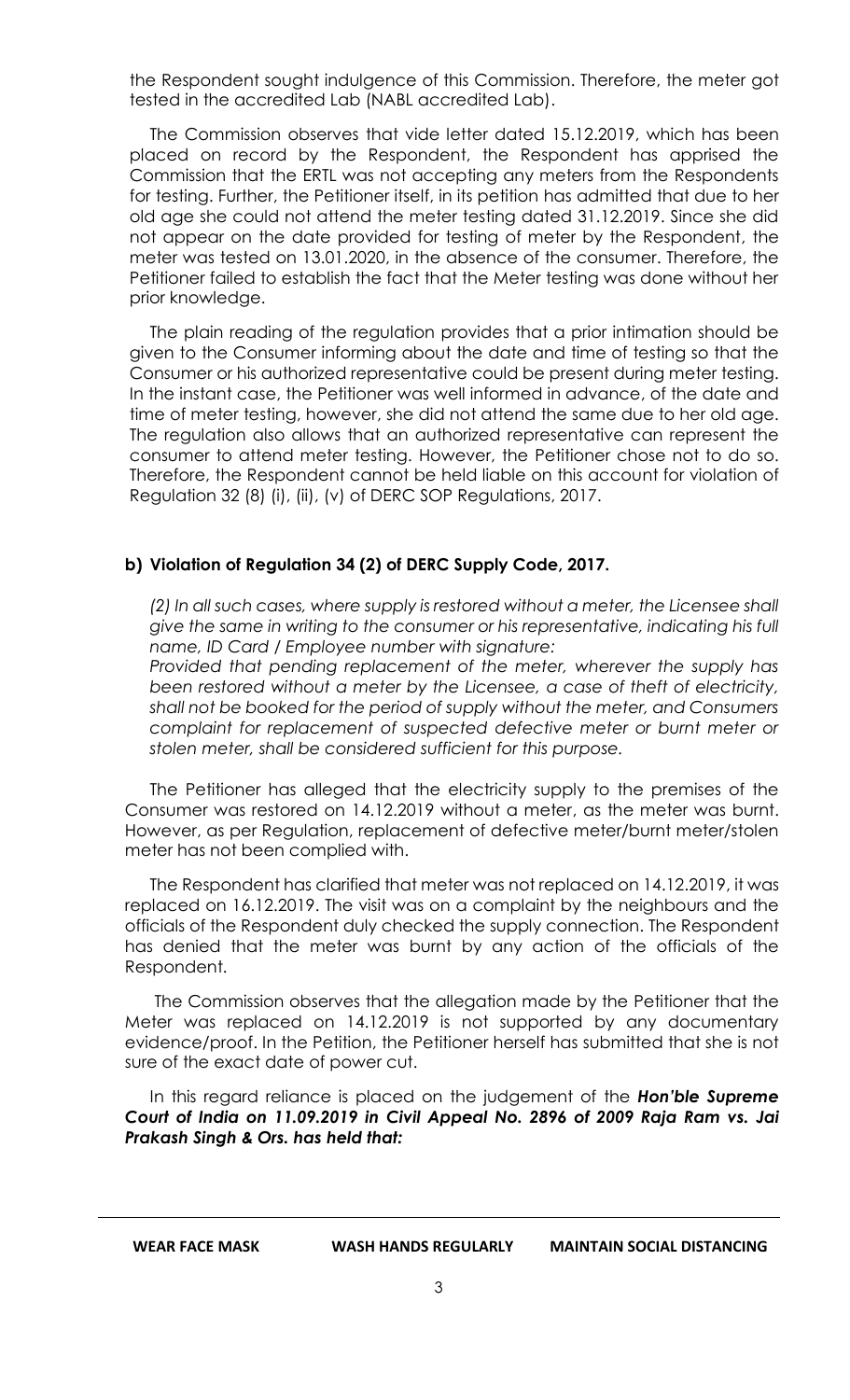the Respondent sought indulgence of this Commission. Therefore, the meter got tested in the accredited Lab (NABL accredited Lab).

The Commission observes that vide letter dated 15.12.2019, which has been placed on record by the Respondent, the Respondent has apprised the Commission that the ERTL was not accepting any meters from the Respondents for testing. Further, the Petitioner itself, in its petition has admitted that due to her old age she could not attend the meter testing dated 31.12.2019. Since she did not appear on the date provided for testing of meter by the Respondent, the meter was tested on 13.01.2020, in the absence of the consumer. Therefore, the Petitioner failed to establish the fact that the Meter testing was done without her prior knowledge.

The plain reading of the regulation provides that a prior intimation should be given to the Consumer informing about the date and time of testing so that the Consumer or his authorized representative could be present during meter testing. In the instant case, the Petitioner was well informed in advance, of the date and time of meter testing, however, she did not attend the same due to her old age. The regulation also allows that an authorized representative can represent the consumer to attend meter testing. However, the Petitioner chose not to do so. Therefore, the Respondent cannot be held liable on this account for violation of Regulation 32 (8) (i), (ii), (v) of DERC SOP Regulations, 2017.

## **b) Violation of Regulation 34 (2) of DERC Supply Code, 2017.**

*(2) In all such cases, where supply is restored without a meter, the Licensee shall give the same in writing to the consumer or his representative, indicating his full name, ID Card / Employee number with signature:*

*Provided that pending replacement of the meter, wherever the supply has been restored without a meter by the Licensee, a case of theft of electricity, shall not be booked for the period of supply without the meter, and Consumers complaint for replacement of suspected defective meter or burnt meter or stolen meter, shall be considered sufficient for this purpose.*

The Petitioner has alleged that the electricity supply to the premises of the Consumer was restored on 14.12.2019 without a meter, as the meter was burnt. However, as per Regulation, replacement of defective meter/burnt meter/stolen meter has not been complied with.

The Respondent has clarified that meter was not replaced on 14.12.2019, it was replaced on 16.12.2019. The visit was on a complaint by the neighbours and the officials of the Respondent duly checked the supply connection. The Respondent has denied that the meter was burnt by any action of the officials of the Respondent.

The Commission observes that the allegation made by the Petitioner that the Meter was replaced on 14.12.2019 is not supported by any documentary evidence/proof. In the Petition, the Petitioner herself has submitted that she is not sure of the exact date of power cut.

In this regard reliance is placed on the judgement of the *Hon'ble Supreme Court of India on 11.09.2019 in Civil Appeal No. 2896 of 2009 Raja Ram vs. Jai Prakash Singh & Ors. has held that:*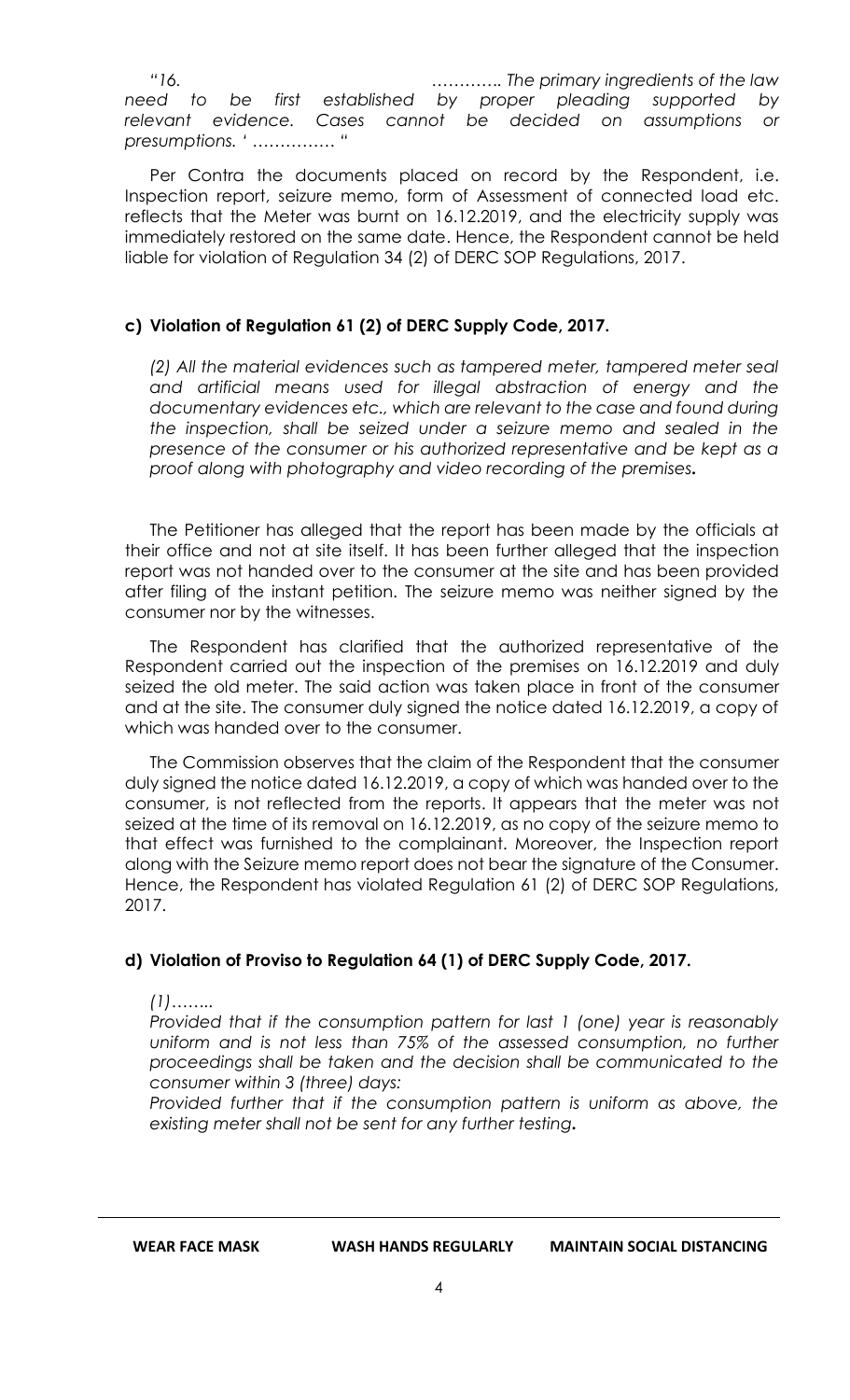*"16. …………. The primary ingredients of the law need to be first established by proper pleading supported by relevant evidence. Cases cannot be decided on assumptions or presumptions. ' …………… "*

Per Contra the documents placed on record by the Respondent, i.e. Inspection report, seizure memo, form of Assessment of connected load etc. reflects that the Meter was burnt on 16.12.2019, and the electricity supply was immediately restored on the same date. Hence, the Respondent cannot be held liable for violation of Regulation 34 (2) of DERC SOP Regulations, 2017.

## **c) Violation of Regulation 61 (2) of DERC Supply Code, 2017.**

*(2) All the material evidences such as tampered meter, tampered meter seal and artificial means used for illegal abstraction of energy and the documentary evidences etc., which are relevant to the case and found during the inspection, shall be seized under a seizure memo and sealed in the presence of the consumer or his authorized representative and be kept as a proof along with photography and video recording of the premises.*

The Petitioner has alleged that the report has been made by the officials at their office and not at site itself. It has been further alleged that the inspection report was not handed over to the consumer at the site and has been provided after filing of the instant petition. The seizure memo was neither signed by the consumer nor by the witnesses.

The Respondent has clarified that the authorized representative of the Respondent carried out the inspection of the premises on 16.12.2019 and duly seized the old meter. The said action was taken place in front of the consumer and at the site. The consumer duly signed the notice dated 16.12.2019, a copy of which was handed over to the consumer.

The Commission observes that the claim of the Respondent that the consumer duly signed the notice dated 16.12.2019, a copy of which was handed over to the consumer, is not reflected from the reports. It appears that the meter was not seized at the time of its removal on 16.12.2019, as no copy of the seizure memo to that effect was furnished to the complainant. Moreover, the Inspection report along with the Seizure memo report does not bear the signature of the Consumer. Hence, the Respondent has violated Regulation 61 (2) of DERC SOP Regulations, 2017.

# **d) Violation of Proviso to Regulation 64 (1) of DERC Supply Code, 2017.**

*(1)……..*

*Provided that if the consumption pattern for last 1 (one) year is reasonably*  uniform and is not less than 75% of the assessed consumption, no further *proceedings shall be taken and the decision shall be communicated to the consumer within 3 (three) days:* 

*Provided further that if the consumption pattern is uniform as above, the existing meter shall not be sent for any further testing.*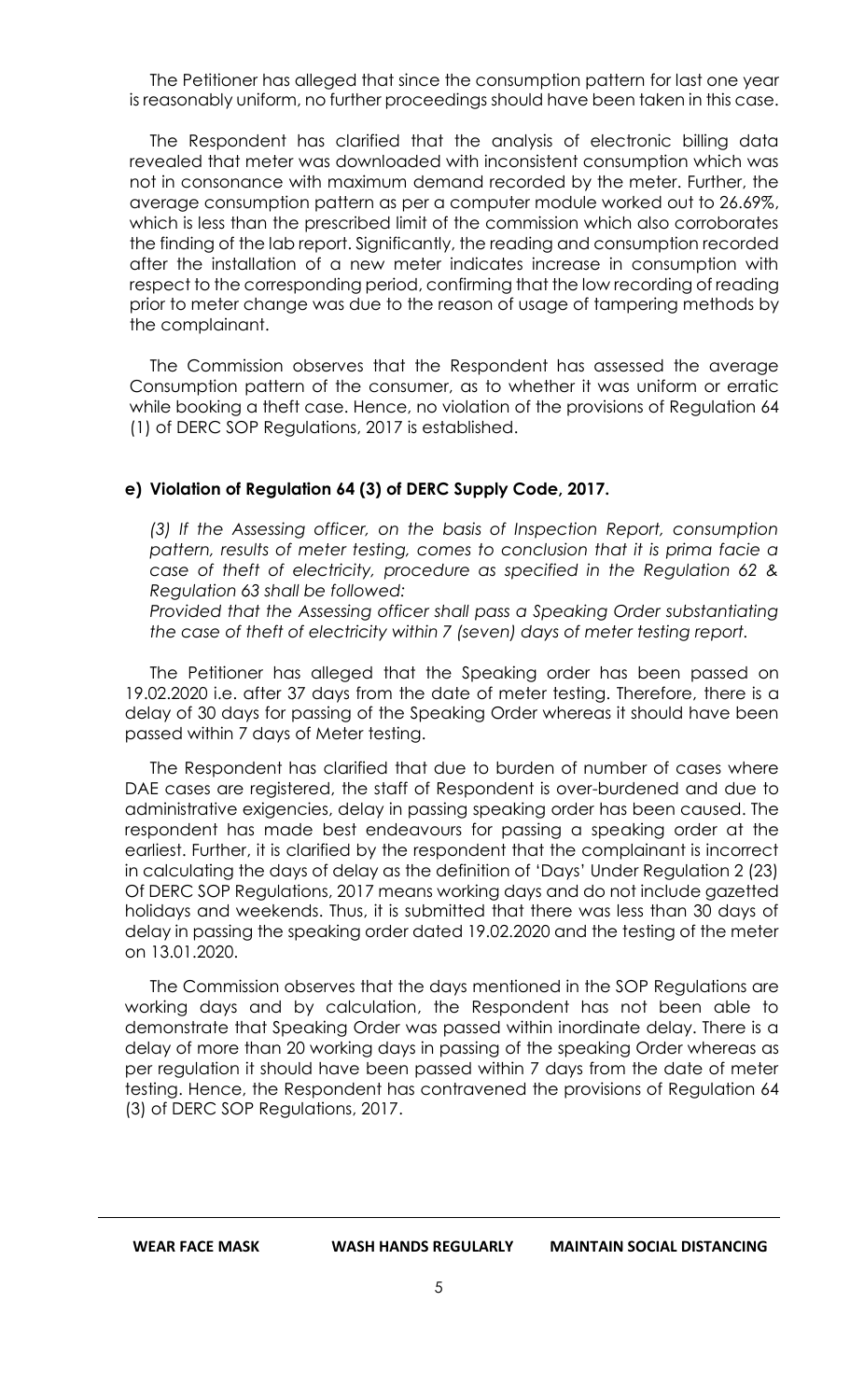The Petitioner has alleged that since the consumption pattern for last one year is reasonably uniform, no further proceedings should have been taken in this case.

The Respondent has clarified that the analysis of electronic billing data revealed that meter was downloaded with inconsistent consumption which was not in consonance with maximum demand recorded by the meter. Further, the average consumption pattern as per a computer module worked out to 26.69%, which is less than the prescribed limit of the commission which also corroborates the finding of the lab report. Significantly, the reading and consumption recorded after the installation of a new meter indicates increase in consumption with respect to the corresponding period, confirming that the low recording of reading prior to meter change was due to the reason of usage of tampering methods by the complainant.

The Commission observes that the Respondent has assessed the average Consumption pattern of the consumer, as to whether it was uniform or erratic while booking a theft case. Hence, no violation of the provisions of Regulation 64 (1) of DERC SOP Regulations, 2017 is established.

### **e) Violation of Regulation 64 (3) of DERC Supply Code, 2017.**

*(3) If the Assessing officer, on the basis of Inspection Report, consumption pattern, results of meter testing, comes to conclusion that it is prima facie a case of theft of electricity, procedure as specified in the Regulation 62 & Regulation 63 shall be followed:* 

*Provided that the Assessing officer shall pass a Speaking Order substantiating the case of theft of electricity within 7 (seven) days of meter testing report.*

The Petitioner has alleged that the Speaking order has been passed on 19.02.2020 i.e. after 37 days from the date of meter testing. Therefore, there is a delay of 30 days for passing of the Speaking Order whereas it should have been passed within 7 days of Meter testing.

The Respondent has clarified that due to burden of number of cases where DAE cases are registered, the staff of Respondent is over-burdened and due to administrative exigencies, delay in passing speaking order has been caused. The respondent has made best endeavours for passing a speaking order at the earliest. Further, it is clarified by the respondent that the complainant is incorrect in calculating the days of delay as the definition of 'Days' Under Regulation 2 (23) Of DERC SOP Regulations, 2017 means working days and do not include gazetted holidays and weekends. Thus, it is submitted that there was less than 30 days of delay in passing the speaking order dated 19.02.2020 and the testing of the meter on 13.01.2020.

The Commission observes that the days mentioned in the SOP Regulations are working days and by calculation, the Respondent has not been able to demonstrate that Speaking Order was passed within inordinate delay. There is a delay of more than 20 working days in passing of the speaking Order whereas as per regulation it should have been passed within 7 days from the date of meter testing. Hence, the Respondent has contravened the provisions of Regulation 64 (3) of DERC SOP Regulations, 2017.